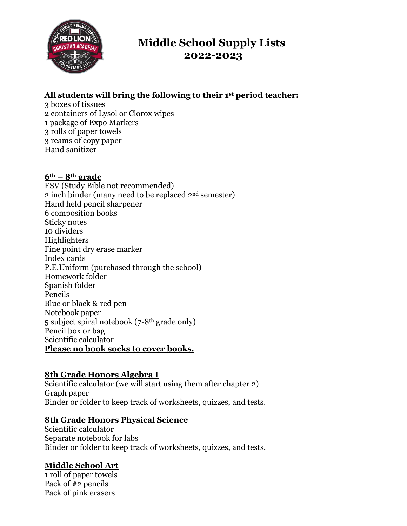

# **Middle School Supply Lists 2022-2023**

## **All students will bring the following to their 1st period teacher:**

3 boxes of tissues 2 containers of Lysol or Clorox wipes 1 package of Expo Markers 3 rolls of paper towels 3 reams of copy paper Hand sanitizer

#### **6th – 8th grade**

ESV (Study Bible not recommended) 2 inch binder (many need to be replaced 2nd semester) Hand held pencil sharpener 6 composition books Sticky notes 10 dividers Highlighters Fine point dry erase marker Index cards P.E.Uniform (purchased through the school) Homework folder Spanish folder Pencils Blue or black & red pen Notebook paper 5 subject spiral notebook (7-8th grade only) Pencil box or bag Scientific calculator **Please no book socks to cover books.**

## **8th Grade Honors Algebra I**

Scientific calculator (we will start using them after chapter 2) Graph paper Binder or folder to keep track of worksheets, quizzes, and tests.

#### **8th Grade Honors Physical Science**

Scientific calculator Separate notebook for labs Binder or folder to keep track of worksheets, quizzes, and tests.

## **Middle School Art**

1 roll of paper towels Pack of #2 pencils Pack of pink erasers